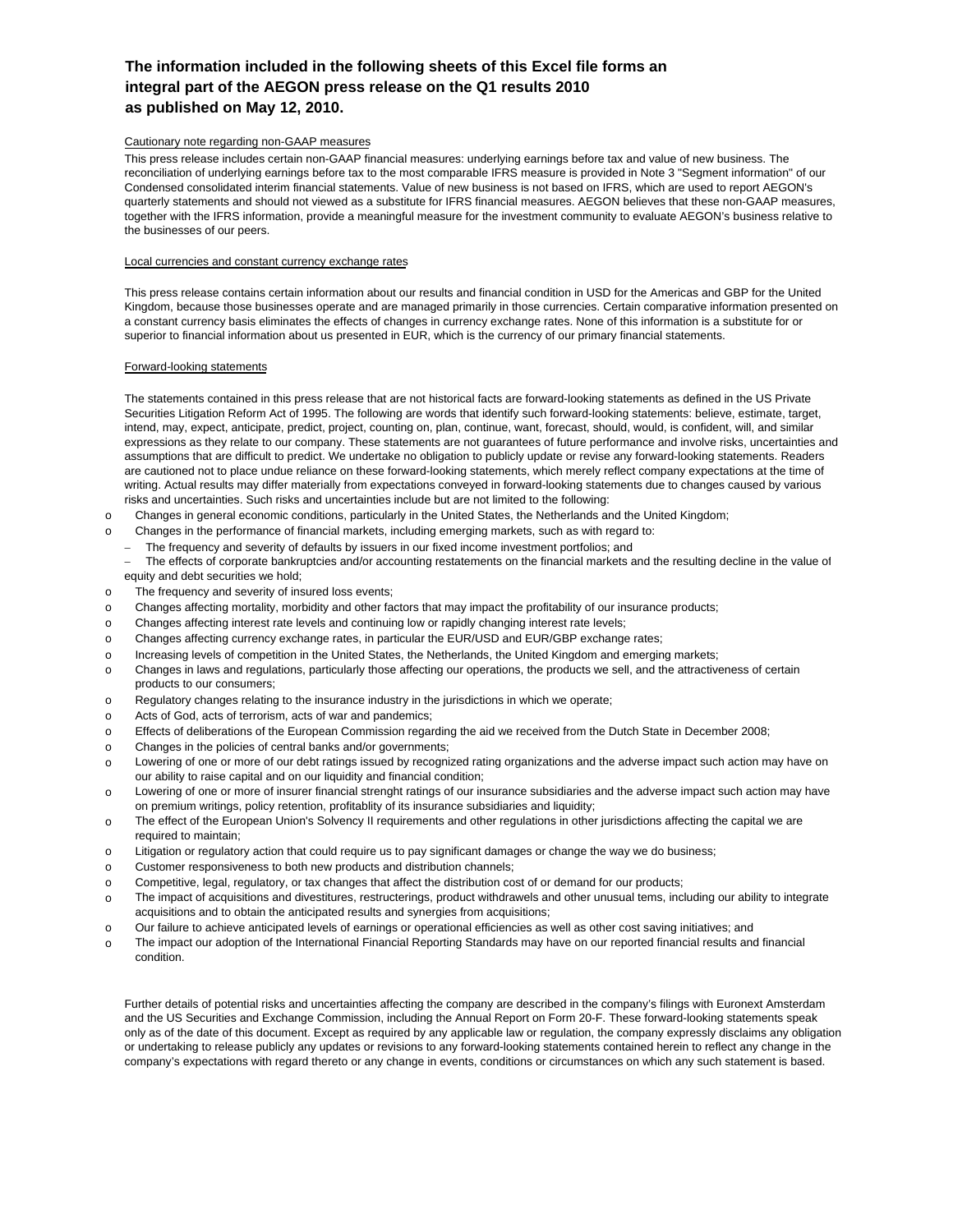### **The information included in the following sheets of this Excel file forms an integral part of the AEGON press release on the Q1 results 2010 as published on May 12, 2010.**

### Cautionary note regarding non-GAAP measures

This press release includes certain non-GAAP financial measures: underlying earnings before tax and value of new business. The reconciliation of underlying earnings before tax to the most comparable IFRS measure is provided in Note 3 "Segment information" of our Condensed consolidated interim financial statements. Value of new business is not based on IFRS, which are used to report AEGON's quarterly statements and should not viewed as a substitute for IFRS financial measures. AEGON believes that these non-GAAP measures, together with the IFRS information, provide a meaningful measure for the investment community to evaluate AEGON's business relative to the businesses of our peers.

#### Local currencies and constant currency exchange rates

This press release contains certain information about our results and financial condition in USD for the Americas and GBP for the United Kingdom, because those businesses operate and are managed primarily in those currencies. Certain comparative information presented on a constant currency basis eliminates the effects of changes in currency exchange rates. None of this information is a substitute for or superior to financial information about us presented in EUR, which is the currency of our primary financial statements.

#### Forward-looking statements

The statements contained in this press release that are not historical facts are forward-looking statements as defined in the US Private Securities Litigation Reform Act of 1995. The following are words that identify such forward-looking statements: believe, estimate, target, intend, may, expect, anticipate, predict, project, counting on, plan, continue, want, forecast, should, would, is confident, will, and similar expressions as they relate to our company. These statements are not guarantees of future performance and involve risks, uncertainties and assumptions that are difficult to predict. We undertake no obligation to publicly update or revise any forward-looking statements. Readers are cautioned not to place undue reliance on these forward-looking statements, which merely reflect company expectations at the time of writing. Actual results may differ materially from expectations conveyed in forward-looking statements due to changes caused by various risks and uncertainties. Such risks and uncertainties include but are not limited to the following:

- o Changes in general economic conditions, particularly in the United States, the Netherlands and the United Kingdom;
- o Changes in the performance of financial markets, including emerging markets, such as with regard to:
	- − The frequency and severity of defaults by issuers in our fixed income investment portfolios; and

 − The effects of corporate bankruptcies and/or accounting restatements on the financial markets and the resulting decline in the value of equity and debt securities we hold;

- o The frequency and severity of insured loss events;
- o Changes affecting mortality, morbidity and other factors that may impact the profitability of our insurance products;
- o Changes affecting interest rate levels and continuing low or rapidly changing interest rate levels;
- o Changes affecting currency exchange rates, in particular the EUR/USD and EUR/GBP exchange rates;
- o Increasing levels of competition in the United States, the Netherlands, the United Kingdom and emerging markets;
- o Changes in laws and regulations, particularly those affecting our operations, the products we sell, and the attractiveness of certain products to our consumers;
- o Regulatory changes relating to the insurance industry in the jurisdictions in which we operate;
- o Acts of God, acts of terrorism, acts of war and pandemics;
- o Effects of deliberations of the European Commission regarding the aid we received from the Dutch State in December 2008;
- o Changes in the policies of central banks and/or governments;
- o Lowering of one or more of our debt ratings issued by recognized rating organizations and the adverse impact such action may have on our ability to raise capital and on our liquidity and financial condition;
- o Lowering of one or more of insurer financial strenght ratings of our insurance subsidiaries and the adverse impact such action may have on premium writings, policy retention, profitablity of its insurance subsidiaries and liquidity;
- o The effect of the European Union's Solvency II requirements and other regulations in other jurisdictions affecting the capital we are required to maintain;
- o Litigation or regulatory action that could require us to pay significant damages or change the way we do business;
- o Customer responsiveness to both new products and distribution channels;
- o Competitive, legal, regulatory, or tax changes that affect the distribution cost of or demand for our products;
- o The impact of acquisitions and divestitures, restructerings, product withdrawels and other unusual tems, including our ability to integrate acquisitions and to obtain the anticipated results and synergies from acquisitions;
- o Our failure to achieve anticipated levels of earnings or operational efficiencies as well as other cost saving initiatives; and
- o The impact our adoption of the International Financial Reporting Standards may have on our reported financial results and financial condition.

Further details of potential risks and uncertainties affecting the company are described in the company's filings with Euronext Amsterdam and the US Securities and Exchange Commission, including the Annual Report on Form 20-F. These forward-looking statements speak only as of the date of this document. Except as required by any applicable law or regulation, the company expressly disclaims any obligation or undertaking to release publicly any updates or revisions to any forward-looking statements contained herein to reflect any change in the company's expectations with regard thereto or any change in events, conditions or circumstances on which any such statement is based.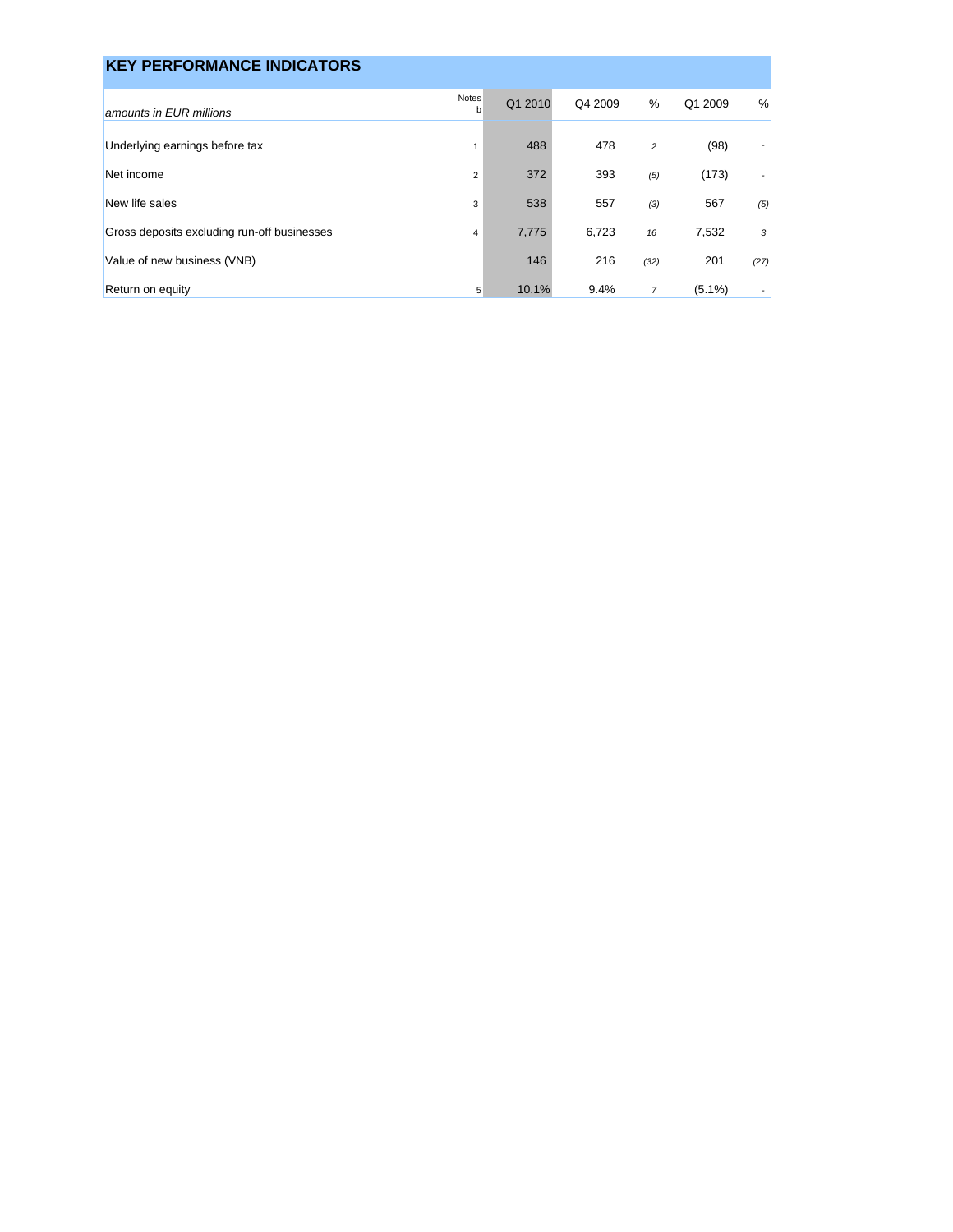| <b>KEY PERFORMANCE INDICATORS</b>           |                |         |         |                |           |                          |
|---------------------------------------------|----------------|---------|---------|----------------|-----------|--------------------------|
| amounts in EUR millions                     | Notes<br>b     | Q1 2010 | Q4 2009 | %              | Q1 2009   | $\%$                     |
| Underlying earnings before tax              | $\mathbf{1}$   | 488     | 478     | $\overline{c}$ | (98)      | $\overline{\phantom{a}}$ |
| Net income                                  | $\overline{2}$ | 372     | 393     | (5)            | (173)     | $\overline{\phantom{a}}$ |
| New life sales                              | 3              | 538     | 557     | (3)            | 567       | (5)                      |
| Gross deposits excluding run-off businesses | $\overline{4}$ | 7,775   | 6,723   | 16             | 7,532     | 3                        |
| Value of new business (VNB)                 |                | 146     | 216     | (32)           | 201       | (27)                     |
| Return on equity                            | 5              | 10.1%   | 9.4%    | $\overline{7}$ | $(5.1\%)$ | $\sim$                   |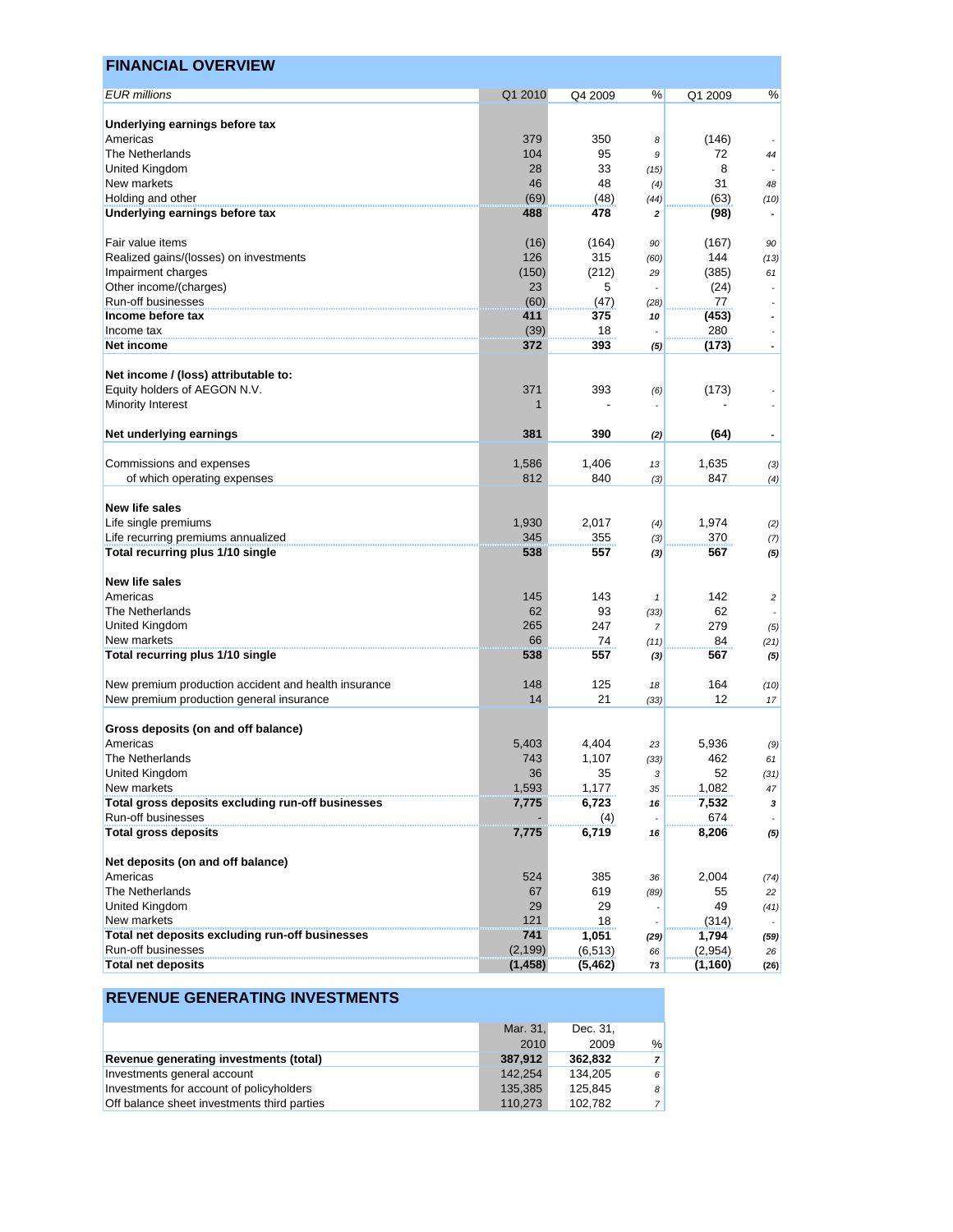| <b>EUR</b> millions<br>Q1 2010<br>℅<br>%<br>Q4 2009<br>Q1 2009<br>Underlying earnings before tax<br>Americas<br>379<br>350<br>(146)<br>8<br>The Netherlands<br>104<br>95<br>72<br>9<br>44<br>28<br>33<br>8<br>United Kingdom<br>(15)<br>New markets<br>48<br>31<br>46<br>48<br>(4)<br>Holding and other<br>(69)<br>(63)<br>(48)<br>(44)<br>Underlying earnings before tax<br>488<br>478<br>(98)<br>2<br>$\overline{\phantom{a}}$<br>Fair value items<br>(16)<br>(164)<br>(167)<br>90<br>90<br>Realized gains/(losses) on investments<br>126<br>315<br>144<br>(60)<br>Impairment charges<br>(150)<br>(212)<br>(385)<br>29<br>Other income/(charges)<br>23<br>5<br>(24)<br>۰<br>$\overline{\phantom{a}}$<br>Run-off businesses<br>(60)<br>77<br>(47)<br>(28)<br>$\overline{\phantom{a}}$<br>Income before tax<br>(453)<br>411<br>375<br>10<br>$\overline{\phantom{a}}$<br>(39)<br>18<br>280<br>Income tax<br>$\overline{\phantom{a}}$<br>372<br>393<br>(173)<br>Net income<br>(5)<br>$\overline{\phantom{a}}$<br>Net income / (loss) attributable to:<br>Equity holders of AEGON N.V.<br>371<br>393<br>(173)<br>(6)<br>Minority Interest<br>1<br>Net underlying earnings<br>381<br>390<br>(64)<br>(2)<br>$\overline{\phantom{a}}$<br>Commissions and expenses<br>1,406<br>1,586<br>1,635<br>13<br>812<br>840<br>of which operating expenses<br>847<br>(3)<br>New life sales<br>1,930<br>Life single premiums<br>2,017<br>1,974<br>(4)<br>Life recurring premiums annualized<br>345<br>370<br>355<br>(3)<br>Total recurring plus 1/10 single<br>538<br>557<br>567<br>(3)<br>New life sales<br>Americas<br>145<br>143<br>142<br>$\overline{c}$<br>$\mathbf{1}$<br>The Netherlands<br>62<br>93<br>62<br>(33)<br>265<br>247<br>279<br>United Kingdom<br>$\overline{7}$<br>New markets<br>74<br>66<br>84<br>(11)<br>Total recurring plus 1/10 single<br>538<br>557<br>567<br>(3)<br>New premium production accident and health insurance<br>148<br>125<br>164<br>18<br>21<br>12<br>New premium production general insurance<br>14<br>(33)<br>Gross deposits (on and off balance)<br>5,403<br>4,404<br>5.936<br>Americas<br>(9)<br>23<br>The Netherlands<br>743<br>1,107<br>462<br>(33)<br>United Kingdom<br>36<br>35<br>52<br>3<br>New markets<br>1,593<br>1,177<br>1,082<br>35<br>Total gross deposits excluding run-off businesses<br>6,723<br>7,532<br>7,775<br>16<br>Run-off businesses<br>674<br>(4)<br><b>Total gross deposits</b><br>7,775<br>6,719<br>8,206<br>16<br>Net deposits (on and off balance)<br>Americas<br>524<br>385<br>2,004<br>36<br>The Netherlands<br>619<br>67<br>55<br>(89)<br>22<br>United Kingdom<br>29<br>29<br>49<br>New markets<br>121<br>18<br>(314)<br>Total net deposits excluding run-off businesses<br>741<br>1,051<br>1,794<br>(29)<br>Run-off businesses<br>(2, 199)<br>(6, 513)<br>(2,954)<br>66<br><b>Total net deposits</b><br>(1, 458)<br>(5, 462)<br>(1, 160)<br>73 | <b>FINANCIAL OVERVIEW</b> |  |  |  |
|---------------------------------------------------------------------------------------------------------------------------------------------------------------------------------------------------------------------------------------------------------------------------------------------------------------------------------------------------------------------------------------------------------------------------------------------------------------------------------------------------------------------------------------------------------------------------------------------------------------------------------------------------------------------------------------------------------------------------------------------------------------------------------------------------------------------------------------------------------------------------------------------------------------------------------------------------------------------------------------------------------------------------------------------------------------------------------------------------------------------------------------------------------------------------------------------------------------------------------------------------------------------------------------------------------------------------------------------------------------------------------------------------------------------------------------------------------------------------------------------------------------------------------------------------------------------------------------------------------------------------------------------------------------------------------------------------------------------------------------------------------------------------------------------------------------------------------------------------------------------------------------------------------------------------------------------------------------------------------------------------------------------------------------------------------------------------------------------------------------------------------------------------------------------------------------------------------------------------------------------------------------------------------------------------------------------------------------------------------------------------------------------------------------------------------------------------------------------------------------------------------------------------------------------------------------------------------------------------------------------------------------------------------------------------------------------------------------------------------------------------------------------------------------------------------------------------------------------------------------------------------------------------------|---------------------------|--|--|--|
| (10)<br>(13)<br>61                                                                                                                                                                                                                                                                                                                                                                                                                                                                                                                                                                                                                                                                                                                                                                                                                                                                                                                                                                                                                                                                                                                                                                                                                                                                                                                                                                                                                                                                                                                                                                                                                                                                                                                                                                                                                                                                                                                                                                                                                                                                                                                                                                                                                                                                                                                                                                                                                                                                                                                                                                                                                                                                                                                                                                                                                                                                                      |                           |  |  |  |
|                                                                                                                                                                                                                                                                                                                                                                                                                                                                                                                                                                                                                                                                                                                                                                                                                                                                                                                                                                                                                                                                                                                                                                                                                                                                                                                                                                                                                                                                                                                                                                                                                                                                                                                                                                                                                                                                                                                                                                                                                                                                                                                                                                                                                                                                                                                                                                                                                                                                                                                                                                                                                                                                                                                                                                                                                                                                                                         |                           |  |  |  |
|                                                                                                                                                                                                                                                                                                                                                                                                                                                                                                                                                                                                                                                                                                                                                                                                                                                                                                                                                                                                                                                                                                                                                                                                                                                                                                                                                                                                                                                                                                                                                                                                                                                                                                                                                                                                                                                                                                                                                                                                                                                                                                                                                                                                                                                                                                                                                                                                                                                                                                                                                                                                                                                                                                                                                                                                                                                                                                         |                           |  |  |  |
|                                                                                                                                                                                                                                                                                                                                                                                                                                                                                                                                                                                                                                                                                                                                                                                                                                                                                                                                                                                                                                                                                                                                                                                                                                                                                                                                                                                                                                                                                                                                                                                                                                                                                                                                                                                                                                                                                                                                                                                                                                                                                                                                                                                                                                                                                                                                                                                                                                                                                                                                                                                                                                                                                                                                                                                                                                                                                                         |                           |  |  |  |
|                                                                                                                                                                                                                                                                                                                                                                                                                                                                                                                                                                                                                                                                                                                                                                                                                                                                                                                                                                                                                                                                                                                                                                                                                                                                                                                                                                                                                                                                                                                                                                                                                                                                                                                                                                                                                                                                                                                                                                                                                                                                                                                                                                                                                                                                                                                                                                                                                                                                                                                                                                                                                                                                                                                                                                                                                                                                                                         |                           |  |  |  |
|                                                                                                                                                                                                                                                                                                                                                                                                                                                                                                                                                                                                                                                                                                                                                                                                                                                                                                                                                                                                                                                                                                                                                                                                                                                                                                                                                                                                                                                                                                                                                                                                                                                                                                                                                                                                                                                                                                                                                                                                                                                                                                                                                                                                                                                                                                                                                                                                                                                                                                                                                                                                                                                                                                                                                                                                                                                                                                         |                           |  |  |  |
|                                                                                                                                                                                                                                                                                                                                                                                                                                                                                                                                                                                                                                                                                                                                                                                                                                                                                                                                                                                                                                                                                                                                                                                                                                                                                                                                                                                                                                                                                                                                                                                                                                                                                                                                                                                                                                                                                                                                                                                                                                                                                                                                                                                                                                                                                                                                                                                                                                                                                                                                                                                                                                                                                                                                                                                                                                                                                                         |                           |  |  |  |
|                                                                                                                                                                                                                                                                                                                                                                                                                                                                                                                                                                                                                                                                                                                                                                                                                                                                                                                                                                                                                                                                                                                                                                                                                                                                                                                                                                                                                                                                                                                                                                                                                                                                                                                                                                                                                                                                                                                                                                                                                                                                                                                                                                                                                                                                                                                                                                                                                                                                                                                                                                                                                                                                                                                                                                                                                                                                                                         |                           |  |  |  |
|                                                                                                                                                                                                                                                                                                                                                                                                                                                                                                                                                                                                                                                                                                                                                                                                                                                                                                                                                                                                                                                                                                                                                                                                                                                                                                                                                                                                                                                                                                                                                                                                                                                                                                                                                                                                                                                                                                                                                                                                                                                                                                                                                                                                                                                                                                                                                                                                                                                                                                                                                                                                                                                                                                                                                                                                                                                                                                         |                           |  |  |  |
|                                                                                                                                                                                                                                                                                                                                                                                                                                                                                                                                                                                                                                                                                                                                                                                                                                                                                                                                                                                                                                                                                                                                                                                                                                                                                                                                                                                                                                                                                                                                                                                                                                                                                                                                                                                                                                                                                                                                                                                                                                                                                                                                                                                                                                                                                                                                                                                                                                                                                                                                                                                                                                                                                                                                                                                                                                                                                                         |                           |  |  |  |
|                                                                                                                                                                                                                                                                                                                                                                                                                                                                                                                                                                                                                                                                                                                                                                                                                                                                                                                                                                                                                                                                                                                                                                                                                                                                                                                                                                                                                                                                                                                                                                                                                                                                                                                                                                                                                                                                                                                                                                                                                                                                                                                                                                                                                                                                                                                                                                                                                                                                                                                                                                                                                                                                                                                                                                                                                                                                                                         |                           |  |  |  |
|                                                                                                                                                                                                                                                                                                                                                                                                                                                                                                                                                                                                                                                                                                                                                                                                                                                                                                                                                                                                                                                                                                                                                                                                                                                                                                                                                                                                                                                                                                                                                                                                                                                                                                                                                                                                                                                                                                                                                                                                                                                                                                                                                                                                                                                                                                                                                                                                                                                                                                                                                                                                                                                                                                                                                                                                                                                                                                         |                           |  |  |  |
|                                                                                                                                                                                                                                                                                                                                                                                                                                                                                                                                                                                                                                                                                                                                                                                                                                                                                                                                                                                                                                                                                                                                                                                                                                                                                                                                                                                                                                                                                                                                                                                                                                                                                                                                                                                                                                                                                                                                                                                                                                                                                                                                                                                                                                                                                                                                                                                                                                                                                                                                                                                                                                                                                                                                                                                                                                                                                                         |                           |  |  |  |
|                                                                                                                                                                                                                                                                                                                                                                                                                                                                                                                                                                                                                                                                                                                                                                                                                                                                                                                                                                                                                                                                                                                                                                                                                                                                                                                                                                                                                                                                                                                                                                                                                                                                                                                                                                                                                                                                                                                                                                                                                                                                                                                                                                                                                                                                                                                                                                                                                                                                                                                                                                                                                                                                                                                                                                                                                                                                                                         |                           |  |  |  |
|                                                                                                                                                                                                                                                                                                                                                                                                                                                                                                                                                                                                                                                                                                                                                                                                                                                                                                                                                                                                                                                                                                                                                                                                                                                                                                                                                                                                                                                                                                                                                                                                                                                                                                                                                                                                                                                                                                                                                                                                                                                                                                                                                                                                                                                                                                                                                                                                                                                                                                                                                                                                                                                                                                                                                                                                                                                                                                         |                           |  |  |  |
|                                                                                                                                                                                                                                                                                                                                                                                                                                                                                                                                                                                                                                                                                                                                                                                                                                                                                                                                                                                                                                                                                                                                                                                                                                                                                                                                                                                                                                                                                                                                                                                                                                                                                                                                                                                                                                                                                                                                                                                                                                                                                                                                                                                                                                                                                                                                                                                                                                                                                                                                                                                                                                                                                                                                                                                                                                                                                                         |                           |  |  |  |
|                                                                                                                                                                                                                                                                                                                                                                                                                                                                                                                                                                                                                                                                                                                                                                                                                                                                                                                                                                                                                                                                                                                                                                                                                                                                                                                                                                                                                                                                                                                                                                                                                                                                                                                                                                                                                                                                                                                                                                                                                                                                                                                                                                                                                                                                                                                                                                                                                                                                                                                                                                                                                                                                                                                                                                                                                                                                                                         |                           |  |  |  |
|                                                                                                                                                                                                                                                                                                                                                                                                                                                                                                                                                                                                                                                                                                                                                                                                                                                                                                                                                                                                                                                                                                                                                                                                                                                                                                                                                                                                                                                                                                                                                                                                                                                                                                                                                                                                                                                                                                                                                                                                                                                                                                                                                                                                                                                                                                                                                                                                                                                                                                                                                                                                                                                                                                                                                                                                                                                                                                         |                           |  |  |  |
|                                                                                                                                                                                                                                                                                                                                                                                                                                                                                                                                                                                                                                                                                                                                                                                                                                                                                                                                                                                                                                                                                                                                                                                                                                                                                                                                                                                                                                                                                                                                                                                                                                                                                                                                                                                                                                                                                                                                                                                                                                                                                                                                                                                                                                                                                                                                                                                                                                                                                                                                                                                                                                                                                                                                                                                                                                                                                                         |                           |  |  |  |
| (3)<br>(4)<br>(2)<br>(7)<br>(5)<br>(5)<br>(21)<br>(5)<br>(10)<br>17<br>61<br>(31)<br>47<br>$\mathbf{3}$<br>(5)<br>(74)<br>(41)<br>(59)<br>26<br>(26)                                                                                                                                                                                                                                                                                                                                                                                                                                                                                                                                                                                                                                                                                                                                                                                                                                                                                                                                                                                                                                                                                                                                                                                                                                                                                                                                                                                                                                                                                                                                                                                                                                                                                                                                                                                                                                                                                                                                                                                                                                                                                                                                                                                                                                                                                                                                                                                                                                                                                                                                                                                                                                                                                                                                                    |                           |  |  |  |
|                                                                                                                                                                                                                                                                                                                                                                                                                                                                                                                                                                                                                                                                                                                                                                                                                                                                                                                                                                                                                                                                                                                                                                                                                                                                                                                                                                                                                                                                                                                                                                                                                                                                                                                                                                                                                                                                                                                                                                                                                                                                                                                                                                                                                                                                                                                                                                                                                                                                                                                                                                                                                                                                                                                                                                                                                                                                                                         |                           |  |  |  |
|                                                                                                                                                                                                                                                                                                                                                                                                                                                                                                                                                                                                                                                                                                                                                                                                                                                                                                                                                                                                                                                                                                                                                                                                                                                                                                                                                                                                                                                                                                                                                                                                                                                                                                                                                                                                                                                                                                                                                                                                                                                                                                                                                                                                                                                                                                                                                                                                                                                                                                                                                                                                                                                                                                                                                                                                                                                                                                         |                           |  |  |  |
|                                                                                                                                                                                                                                                                                                                                                                                                                                                                                                                                                                                                                                                                                                                                                                                                                                                                                                                                                                                                                                                                                                                                                                                                                                                                                                                                                                                                                                                                                                                                                                                                                                                                                                                                                                                                                                                                                                                                                                                                                                                                                                                                                                                                                                                                                                                                                                                                                                                                                                                                                                                                                                                                                                                                                                                                                                                                                                         |                           |  |  |  |
|                                                                                                                                                                                                                                                                                                                                                                                                                                                                                                                                                                                                                                                                                                                                                                                                                                                                                                                                                                                                                                                                                                                                                                                                                                                                                                                                                                                                                                                                                                                                                                                                                                                                                                                                                                                                                                                                                                                                                                                                                                                                                                                                                                                                                                                                                                                                                                                                                                                                                                                                                                                                                                                                                                                                                                                                                                                                                                         |                           |  |  |  |
|                                                                                                                                                                                                                                                                                                                                                                                                                                                                                                                                                                                                                                                                                                                                                                                                                                                                                                                                                                                                                                                                                                                                                                                                                                                                                                                                                                                                                                                                                                                                                                                                                                                                                                                                                                                                                                                                                                                                                                                                                                                                                                                                                                                                                                                                                                                                                                                                                                                                                                                                                                                                                                                                                                                                                                                                                                                                                                         |                           |  |  |  |
|                                                                                                                                                                                                                                                                                                                                                                                                                                                                                                                                                                                                                                                                                                                                                                                                                                                                                                                                                                                                                                                                                                                                                                                                                                                                                                                                                                                                                                                                                                                                                                                                                                                                                                                                                                                                                                                                                                                                                                                                                                                                                                                                                                                                                                                                                                                                                                                                                                                                                                                                                                                                                                                                                                                                                                                                                                                                                                         |                           |  |  |  |
|                                                                                                                                                                                                                                                                                                                                                                                                                                                                                                                                                                                                                                                                                                                                                                                                                                                                                                                                                                                                                                                                                                                                                                                                                                                                                                                                                                                                                                                                                                                                                                                                                                                                                                                                                                                                                                                                                                                                                                                                                                                                                                                                                                                                                                                                                                                                                                                                                                                                                                                                                                                                                                                                                                                                                                                                                                                                                                         |                           |  |  |  |
|                                                                                                                                                                                                                                                                                                                                                                                                                                                                                                                                                                                                                                                                                                                                                                                                                                                                                                                                                                                                                                                                                                                                                                                                                                                                                                                                                                                                                                                                                                                                                                                                                                                                                                                                                                                                                                                                                                                                                                                                                                                                                                                                                                                                                                                                                                                                                                                                                                                                                                                                                                                                                                                                                                                                                                                                                                                                                                         |                           |  |  |  |
|                                                                                                                                                                                                                                                                                                                                                                                                                                                                                                                                                                                                                                                                                                                                                                                                                                                                                                                                                                                                                                                                                                                                                                                                                                                                                                                                                                                                                                                                                                                                                                                                                                                                                                                                                                                                                                                                                                                                                                                                                                                                                                                                                                                                                                                                                                                                                                                                                                                                                                                                                                                                                                                                                                                                                                                                                                                                                                         |                           |  |  |  |
|                                                                                                                                                                                                                                                                                                                                                                                                                                                                                                                                                                                                                                                                                                                                                                                                                                                                                                                                                                                                                                                                                                                                                                                                                                                                                                                                                                                                                                                                                                                                                                                                                                                                                                                                                                                                                                                                                                                                                                                                                                                                                                                                                                                                                                                                                                                                                                                                                                                                                                                                                                                                                                                                                                                                                                                                                                                                                                         |                           |  |  |  |
|                                                                                                                                                                                                                                                                                                                                                                                                                                                                                                                                                                                                                                                                                                                                                                                                                                                                                                                                                                                                                                                                                                                                                                                                                                                                                                                                                                                                                                                                                                                                                                                                                                                                                                                                                                                                                                                                                                                                                                                                                                                                                                                                                                                                                                                                                                                                                                                                                                                                                                                                                                                                                                                                                                                                                                                                                                                                                                         |                           |  |  |  |
|                                                                                                                                                                                                                                                                                                                                                                                                                                                                                                                                                                                                                                                                                                                                                                                                                                                                                                                                                                                                                                                                                                                                                                                                                                                                                                                                                                                                                                                                                                                                                                                                                                                                                                                                                                                                                                                                                                                                                                                                                                                                                                                                                                                                                                                                                                                                                                                                                                                                                                                                                                                                                                                                                                                                                                                                                                                                                                         |                           |  |  |  |
|                                                                                                                                                                                                                                                                                                                                                                                                                                                                                                                                                                                                                                                                                                                                                                                                                                                                                                                                                                                                                                                                                                                                                                                                                                                                                                                                                                                                                                                                                                                                                                                                                                                                                                                                                                                                                                                                                                                                                                                                                                                                                                                                                                                                                                                                                                                                                                                                                                                                                                                                                                                                                                                                                                                                                                                                                                                                                                         |                           |  |  |  |
|                                                                                                                                                                                                                                                                                                                                                                                                                                                                                                                                                                                                                                                                                                                                                                                                                                                                                                                                                                                                                                                                                                                                                                                                                                                                                                                                                                                                                                                                                                                                                                                                                                                                                                                                                                                                                                                                                                                                                                                                                                                                                                                                                                                                                                                                                                                                                                                                                                                                                                                                                                                                                                                                                                                                                                                                                                                                                                         |                           |  |  |  |
|                                                                                                                                                                                                                                                                                                                                                                                                                                                                                                                                                                                                                                                                                                                                                                                                                                                                                                                                                                                                                                                                                                                                                                                                                                                                                                                                                                                                                                                                                                                                                                                                                                                                                                                                                                                                                                                                                                                                                                                                                                                                                                                                                                                                                                                                                                                                                                                                                                                                                                                                                                                                                                                                                                                                                                                                                                                                                                         |                           |  |  |  |
|                                                                                                                                                                                                                                                                                                                                                                                                                                                                                                                                                                                                                                                                                                                                                                                                                                                                                                                                                                                                                                                                                                                                                                                                                                                                                                                                                                                                                                                                                                                                                                                                                                                                                                                                                                                                                                                                                                                                                                                                                                                                                                                                                                                                                                                                                                                                                                                                                                                                                                                                                                                                                                                                                                                                                                                                                                                                                                         |                           |  |  |  |
|                                                                                                                                                                                                                                                                                                                                                                                                                                                                                                                                                                                                                                                                                                                                                                                                                                                                                                                                                                                                                                                                                                                                                                                                                                                                                                                                                                                                                                                                                                                                                                                                                                                                                                                                                                                                                                                                                                                                                                                                                                                                                                                                                                                                                                                                                                                                                                                                                                                                                                                                                                                                                                                                                                                                                                                                                                                                                                         |                           |  |  |  |
|                                                                                                                                                                                                                                                                                                                                                                                                                                                                                                                                                                                                                                                                                                                                                                                                                                                                                                                                                                                                                                                                                                                                                                                                                                                                                                                                                                                                                                                                                                                                                                                                                                                                                                                                                                                                                                                                                                                                                                                                                                                                                                                                                                                                                                                                                                                                                                                                                                                                                                                                                                                                                                                                                                                                                                                                                                                                                                         |                           |  |  |  |
|                                                                                                                                                                                                                                                                                                                                                                                                                                                                                                                                                                                                                                                                                                                                                                                                                                                                                                                                                                                                                                                                                                                                                                                                                                                                                                                                                                                                                                                                                                                                                                                                                                                                                                                                                                                                                                                                                                                                                                                                                                                                                                                                                                                                                                                                                                                                                                                                                                                                                                                                                                                                                                                                                                                                                                                                                                                                                                         |                           |  |  |  |
|                                                                                                                                                                                                                                                                                                                                                                                                                                                                                                                                                                                                                                                                                                                                                                                                                                                                                                                                                                                                                                                                                                                                                                                                                                                                                                                                                                                                                                                                                                                                                                                                                                                                                                                                                                                                                                                                                                                                                                                                                                                                                                                                                                                                                                                                                                                                                                                                                                                                                                                                                                                                                                                                                                                                                                                                                                                                                                         |                           |  |  |  |
|                                                                                                                                                                                                                                                                                                                                                                                                                                                                                                                                                                                                                                                                                                                                                                                                                                                                                                                                                                                                                                                                                                                                                                                                                                                                                                                                                                                                                                                                                                                                                                                                                                                                                                                                                                                                                                                                                                                                                                                                                                                                                                                                                                                                                                                                                                                                                                                                                                                                                                                                                                                                                                                                                                                                                                                                                                                                                                         |                           |  |  |  |
|                                                                                                                                                                                                                                                                                                                                                                                                                                                                                                                                                                                                                                                                                                                                                                                                                                                                                                                                                                                                                                                                                                                                                                                                                                                                                                                                                                                                                                                                                                                                                                                                                                                                                                                                                                                                                                                                                                                                                                                                                                                                                                                                                                                                                                                                                                                                                                                                                                                                                                                                                                                                                                                                                                                                                                                                                                                                                                         |                           |  |  |  |
|                                                                                                                                                                                                                                                                                                                                                                                                                                                                                                                                                                                                                                                                                                                                                                                                                                                                                                                                                                                                                                                                                                                                                                                                                                                                                                                                                                                                                                                                                                                                                                                                                                                                                                                                                                                                                                                                                                                                                                                                                                                                                                                                                                                                                                                                                                                                                                                                                                                                                                                                                                                                                                                                                                                                                                                                                                                                                                         |                           |  |  |  |
|                                                                                                                                                                                                                                                                                                                                                                                                                                                                                                                                                                                                                                                                                                                                                                                                                                                                                                                                                                                                                                                                                                                                                                                                                                                                                                                                                                                                                                                                                                                                                                                                                                                                                                                                                                                                                                                                                                                                                                                                                                                                                                                                                                                                                                                                                                                                                                                                                                                                                                                                                                                                                                                                                                                                                                                                                                                                                                         |                           |  |  |  |
|                                                                                                                                                                                                                                                                                                                                                                                                                                                                                                                                                                                                                                                                                                                                                                                                                                                                                                                                                                                                                                                                                                                                                                                                                                                                                                                                                                                                                                                                                                                                                                                                                                                                                                                                                                                                                                                                                                                                                                                                                                                                                                                                                                                                                                                                                                                                                                                                                                                                                                                                                                                                                                                                                                                                                                                                                                                                                                         |                           |  |  |  |
|                                                                                                                                                                                                                                                                                                                                                                                                                                                                                                                                                                                                                                                                                                                                                                                                                                                                                                                                                                                                                                                                                                                                                                                                                                                                                                                                                                                                                                                                                                                                                                                                                                                                                                                                                                                                                                                                                                                                                                                                                                                                                                                                                                                                                                                                                                                                                                                                                                                                                                                                                                                                                                                                                                                                                                                                                                                                                                         |                           |  |  |  |
|                                                                                                                                                                                                                                                                                                                                                                                                                                                                                                                                                                                                                                                                                                                                                                                                                                                                                                                                                                                                                                                                                                                                                                                                                                                                                                                                                                                                                                                                                                                                                                                                                                                                                                                                                                                                                                                                                                                                                                                                                                                                                                                                                                                                                                                                                                                                                                                                                                                                                                                                                                                                                                                                                                                                                                                                                                                                                                         |                           |  |  |  |
|                                                                                                                                                                                                                                                                                                                                                                                                                                                                                                                                                                                                                                                                                                                                                                                                                                                                                                                                                                                                                                                                                                                                                                                                                                                                                                                                                                                                                                                                                                                                                                                                                                                                                                                                                                                                                                                                                                                                                                                                                                                                                                                                                                                                                                                                                                                                                                                                                                                                                                                                                                                                                                                                                                                                                                                                                                                                                                         |                           |  |  |  |
|                                                                                                                                                                                                                                                                                                                                                                                                                                                                                                                                                                                                                                                                                                                                                                                                                                                                                                                                                                                                                                                                                                                                                                                                                                                                                                                                                                                                                                                                                                                                                                                                                                                                                                                                                                                                                                                                                                                                                                                                                                                                                                                                                                                                                                                                                                                                                                                                                                                                                                                                                                                                                                                                                                                                                                                                                                                                                                         |                           |  |  |  |
|                                                                                                                                                                                                                                                                                                                                                                                                                                                                                                                                                                                                                                                                                                                                                                                                                                                                                                                                                                                                                                                                                                                                                                                                                                                                                                                                                                                                                                                                                                                                                                                                                                                                                                                                                                                                                                                                                                                                                                                                                                                                                                                                                                                                                                                                                                                                                                                                                                                                                                                                                                                                                                                                                                                                                                                                                                                                                                         |                           |  |  |  |
|                                                                                                                                                                                                                                                                                                                                                                                                                                                                                                                                                                                                                                                                                                                                                                                                                                                                                                                                                                                                                                                                                                                                                                                                                                                                                                                                                                                                                                                                                                                                                                                                                                                                                                                                                                                                                                                                                                                                                                                                                                                                                                                                                                                                                                                                                                                                                                                                                                                                                                                                                                                                                                                                                                                                                                                                                                                                                                         |                           |  |  |  |
|                                                                                                                                                                                                                                                                                                                                                                                                                                                                                                                                                                                                                                                                                                                                                                                                                                                                                                                                                                                                                                                                                                                                                                                                                                                                                                                                                                                                                                                                                                                                                                                                                                                                                                                                                                                                                                                                                                                                                                                                                                                                                                                                                                                                                                                                                                                                                                                                                                                                                                                                                                                                                                                                                                                                                                                                                                                                                                         |                           |  |  |  |
|                                                                                                                                                                                                                                                                                                                                                                                                                                                                                                                                                                                                                                                                                                                                                                                                                                                                                                                                                                                                                                                                                                                                                                                                                                                                                                                                                                                                                                                                                                                                                                                                                                                                                                                                                                                                                                                                                                                                                                                                                                                                                                                                                                                                                                                                                                                                                                                                                                                                                                                                                                                                                                                                                                                                                                                                                                                                                                         |                           |  |  |  |
|                                                                                                                                                                                                                                                                                                                                                                                                                                                                                                                                                                                                                                                                                                                                                                                                                                                                                                                                                                                                                                                                                                                                                                                                                                                                                                                                                                                                                                                                                                                                                                                                                                                                                                                                                                                                                                                                                                                                                                                                                                                                                                                                                                                                                                                                                                                                                                                                                                                                                                                                                                                                                                                                                                                                                                                                                                                                                                         |                           |  |  |  |
|                                                                                                                                                                                                                                                                                                                                                                                                                                                                                                                                                                                                                                                                                                                                                                                                                                                                                                                                                                                                                                                                                                                                                                                                                                                                                                                                                                                                                                                                                                                                                                                                                                                                                                                                                                                                                                                                                                                                                                                                                                                                                                                                                                                                                                                                                                                                                                                                                                                                                                                                                                                                                                                                                                                                                                                                                                                                                                         |                           |  |  |  |

| <b>REVENUE GENERATING INVESTMENTS</b>       |          |          |                |
|---------------------------------------------|----------|----------|----------------|
|                                             | Mar. 31, | Dec. 31. |                |
|                                             | 2010     | 2009     | $\frac{0}{0}$  |
| Revenue generating investments (total)      | 387,912  | 362.832  | $\overline{ }$ |
| Investments general account                 | 142.254  | 134.205  | 6              |
| Investments for account of policyholders    | 135.385  | 125.845  | 8              |
| Off balance sheet investments third parties | 110.273  | 102.782  | $\overline{7}$ |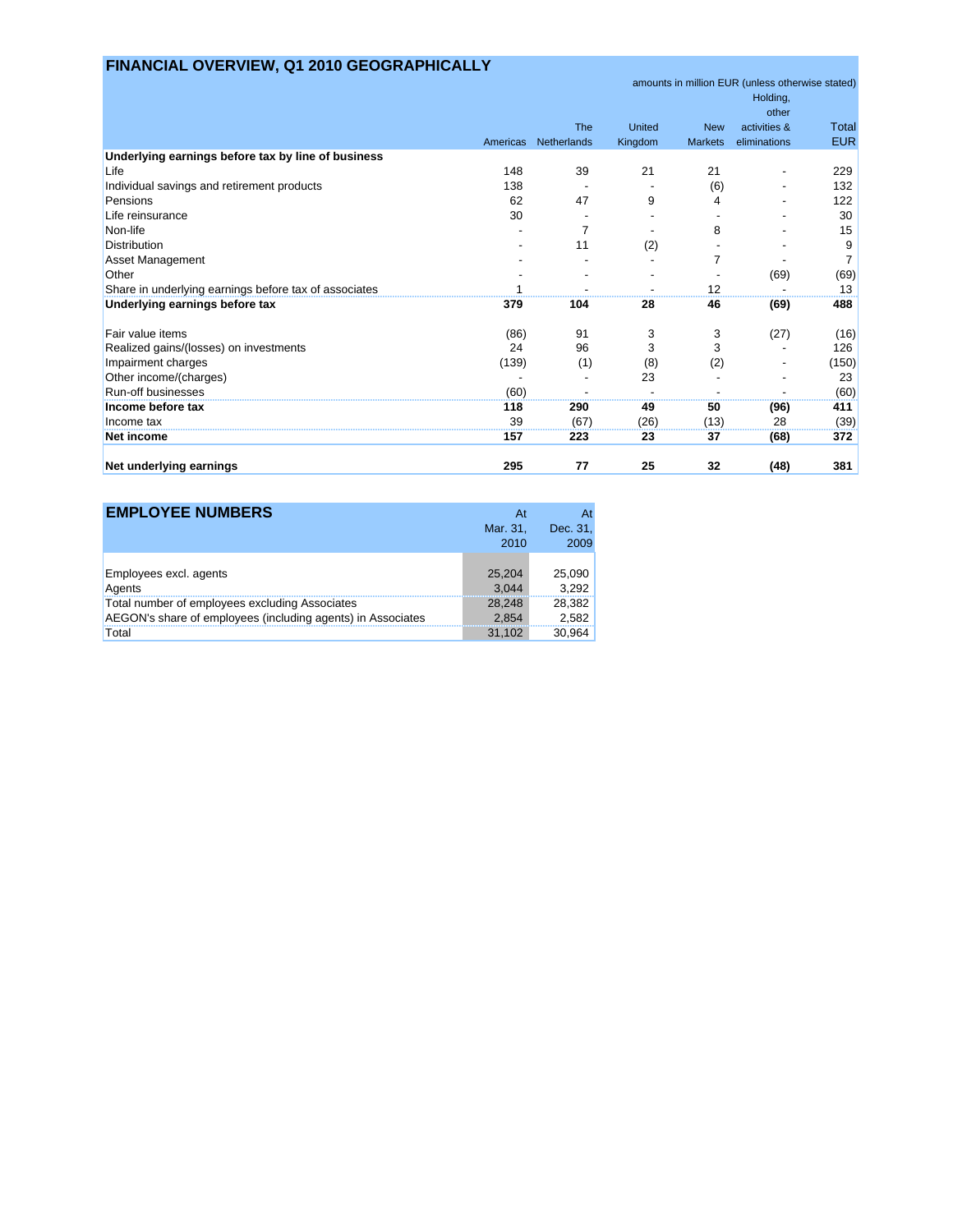# **FINANCIAL OVERVIEW, Q1 2010 GEOGRAPHICALLY**

|                                                       |          |             |         |                | amounts in million EUR (unless otherwise stated) |                |
|-------------------------------------------------------|----------|-------------|---------|----------------|--------------------------------------------------|----------------|
|                                                       |          |             |         |                | Holding,                                         |                |
|                                                       |          |             |         |                | other                                            |                |
|                                                       |          | The         | United  | <b>New</b>     | activities &                                     | <b>Total</b>   |
|                                                       | Americas | Netherlands | Kingdom | <b>Markets</b> | eliminations                                     | <b>EUR</b>     |
| Underlying earnings before tax by line of business    |          |             |         |                |                                                  |                |
| Life                                                  | 148      | 39          | 21      | 21             |                                                  | 229            |
| Individual savings and retirement products            | 138      |             |         | (6)            |                                                  | 132            |
| Pensions                                              | 62       | 47          | 9       | 4              |                                                  | 122            |
| Life reinsurance                                      | 30       |             |         |                |                                                  | 30             |
| Non-life                                              |          |             |         | 8              |                                                  | 15             |
| <b>Distribution</b>                                   |          | 11          | (2)     |                |                                                  | 9              |
| Asset Management                                      |          |             |         |                |                                                  | $\overline{7}$ |
| Other                                                 |          |             |         |                | (69)                                             | (69)           |
| Share in underlying earnings before tax of associates |          |             |         | 12             |                                                  | 13             |
| Underlying earnings before tax                        | 379      | 104         | 28      | 46             | (69)                                             | 488            |
| Fair value items                                      | (86)     | 91          | 3       | 3              | (27)                                             | (16)           |
| Realized gains/(losses) on investments                | 24       | 96          | 3       | 3              |                                                  | 126            |
| Impairment charges                                    | (139)    | (1)         | (8)     | (2)            |                                                  | (150)          |
| Other income/(charges)                                |          |             | 23      |                |                                                  | 23             |
| Run-off businesses                                    | (60)     |             |         |                |                                                  | (60)           |
| Income before tax                                     | 118      | 290         | 49      | 50             | (96)                                             | 411            |
| Income tax                                            | 39       | (67)        | (26)    | (13)           | 28                                               | (39)           |
| <b>Net income</b>                                     | 157      | 223         | 23      | 37             | (68)                                             | 372            |
| Net underlying earnings                               | 295      | 77          | 25      | 32             | (48)                                             | 381            |

| <b>EMPLOYEE NUMBERS</b>                                     | At<br>Mar. 31,<br>2010 | Dec. 31,<br>2009 |
|-------------------------------------------------------------|------------------------|------------------|
| Employees excl. agents                                      | 25,204                 | 25,090           |
| Agents                                                      | 3.044                  | 3.292            |
| Total number of employees excluding Associates              | 28.248                 | 28,382           |
| AEGON's share of employees (including agents) in Associates | 2.854                  | 2,582            |
| Total                                                       | 31.102                 | 30.964           |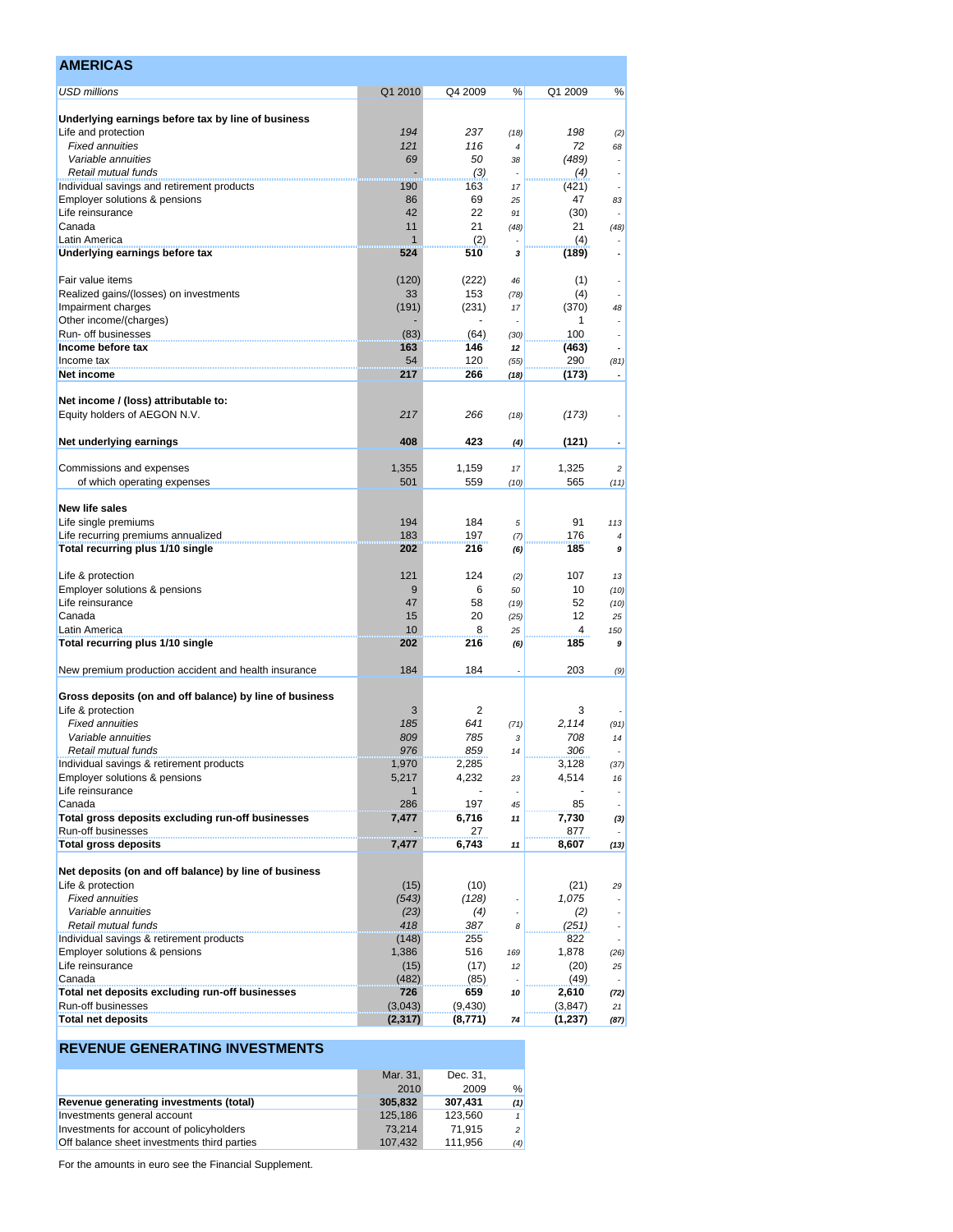| <b>AMERICAS</b>                                                           |                |                |                    |                |                          |
|---------------------------------------------------------------------------|----------------|----------------|--------------------|----------------|--------------------------|
| <b>USD millions</b>                                                       | Q1 2010        | Q4 2009        | %                  | Q1 2009        | %                        |
| Underlying earnings before tax by line of business                        |                |                |                    |                |                          |
| Life and protection                                                       | 194            | 237            | (18)               | 198            | (2)                      |
| <b>Fixed annuities</b>                                                    | 121            | 116            | $\overline{\bf 4}$ | 72             | 68                       |
| Variable annuities                                                        | 69             | 50             | 38                 | (489)          |                          |
| Retail mutual funds                                                       |                | (3)            | ÷.                 | (4)            | $\overline{\phantom{a}}$ |
| Individual savings and retirement products                                | 190            | 163            | 17                 | (421)          |                          |
| Employer solutions & pensions<br>Life reinsurance                         | 86             | 69             | 25                 | 47             | 83                       |
| Canada                                                                    | 42<br>11       | 22<br>21       | 91                 | (30)<br>21     |                          |
| Latin America                                                             | $\mathbf{1}$   | (2)            | (48)               | (4)            | (48)                     |
| Underlying earnings before tax                                            | 524            | 510            | 3                  | (189)          |                          |
| Fair value items                                                          | (120)          | (222)          | 46                 | (1)            |                          |
| Realized gains/(losses) on investments                                    | 33             | 153            | (78)               | (4)            |                          |
| Impairment charges                                                        | (191)          | (231)          | 17                 | (370)          | 48                       |
| Other income/(charges)                                                    |                |                |                    | 1              |                          |
| Run- off businesses                                                       | (83)           | (64)           | (30)               | 100            |                          |
| Income before tax                                                         | 163            | 146            | 12                 | (463)          |                          |
| Income tax                                                                | 54             | 120            | (55)               | 290            | (81)                     |
| Net income                                                                | 217            | 266            | (18)               | (173)          |                          |
| Net income / (loss) attributable to:<br>Equity holders of AEGON N.V.      | 217            | 266            | (18)               | (173)          |                          |
| Net underlying earnings                                                   | 408            | 423            | (4)                | (121)          |                          |
|                                                                           |                |                |                    |                |                          |
| Commissions and expenses<br>of which operating expenses                   | 1,355<br>501   | 1,159<br>559   | 17<br>(10)         | 1,325<br>565   | 2<br>(11)                |
| New life sales                                                            |                |                |                    |                |                          |
| Life single premiums                                                      | 194            | 184            | 5                  | 91             | 113                      |
| Life recurring premiums annualized                                        | 183            | 197            | (7)                | 176            | $\overline{4}$           |
| Total recurring plus 1/10 single                                          | 202            | 216            | (6)                | 185            | 9                        |
| Life & protection                                                         | 121            | 124            | (2)                | 107            | 13                       |
| Employer solutions & pensions                                             | 9              | 6              | 50                 | 10             | (10)                     |
| Life reinsurance                                                          | 47             | 58             | (19)               | 52             | (10)                     |
| Canada                                                                    | 15             | 20             | (25)               | 12             | 25                       |
| Latin America                                                             | 10             | 8              | 25                 | 4              | 150                      |
| Total recurring plus 1/10 single                                          | 202            | 216            | (6)                | 185            | 9                        |
| New premium production accident and health insurance                      | 184            | 184            |                    | 203            | (9)                      |
| Gross deposits (on and off balance) by line of business                   |                |                |                    |                |                          |
| Life & protection                                                         | 3              | $\overline{2}$ |                    | 3              |                          |
| <b>Fixed annuities</b>                                                    | 185            | 641            | (71)               | 2,114          | (91)                     |
| Variable annuities                                                        | 809            | 785            | 3                  | 708            | 14                       |
| Retail mutual funds                                                       | 976            | 859            | 14                 | 306            |                          |
| Individual savings & retirement products<br>Employer solutions & pensions | 1,970          | 2,285          |                    | 3,128<br>4,514 | (37)                     |
| Life reinsurance                                                          | 5,217<br>1     | 4,232          | 23                 |                | 16                       |
| Canada                                                                    | 286            | 197            | 45                 | 85             |                          |
| Total gross deposits excluding run-off businesses                         | 7,477          | 6,716          | 11                 | 7,730          | (3)                      |
| Run-off businesses                                                        |                | 27             |                    | 877            |                          |
| <b>Total gross deposits</b>                                               | 7,477          | 6,743          | 11                 | 8,607          | (13)                     |
| Net deposits (on and off balance) by line of business                     |                |                |                    |                |                          |
| Life & protection                                                         | (15)           | (10)           |                    | (21)           | 29                       |
| <b>Fixed annuities</b>                                                    | (543)          | (128)          |                    | 1,075          |                          |
| Variable annuities                                                        | (23)           | (4)            | $\overline{a}$     | (2)            |                          |
| Retail mutual funds                                                       | 418            | 387            | 8                  | (251)          |                          |
| Individual savings & retirement products<br>Employer solutions & pensions | (148)<br>1,386 | 255<br>516     |                    | 822            |                          |
| Life reinsurance                                                          | (15)           | (17)           | 169<br>12          | 1,878<br>(20)  | (26)<br>25               |
| Canada                                                                    | (482)          | (85)           |                    | (49)           |                          |
| Total net deposits excluding run-off businesses                           | 726            | 659            | 10                 | 2,610          | (72)                     |
| Run-off businesses                                                        | (3,043)        | (9,430)        |                    | (3, 847)       | 21                       |
| <b>Total net deposits</b>                                                 | (2, 317)       | (8,771)        | 74                 | (1,237)        | (87)                     |

### **REVENUE GENERATING INVESTMENTS**

|                                             | Mar. 31. | Dec. 31. |                |
|---------------------------------------------|----------|----------|----------------|
|                                             | 2010     | 2009     | %              |
| Revenue generating investments (total)      | 305.832  | 307.431  | (1)            |
| Investments general account                 | 125.186  | 123.560  |                |
| Investments for account of policyholders    | 73.214   | 71.915   | 2 <sup>1</sup> |
| Off balance sheet investments third parties | 107.432  | 111.956  | (4)            |

For the amounts in euro see the Financial Supplement.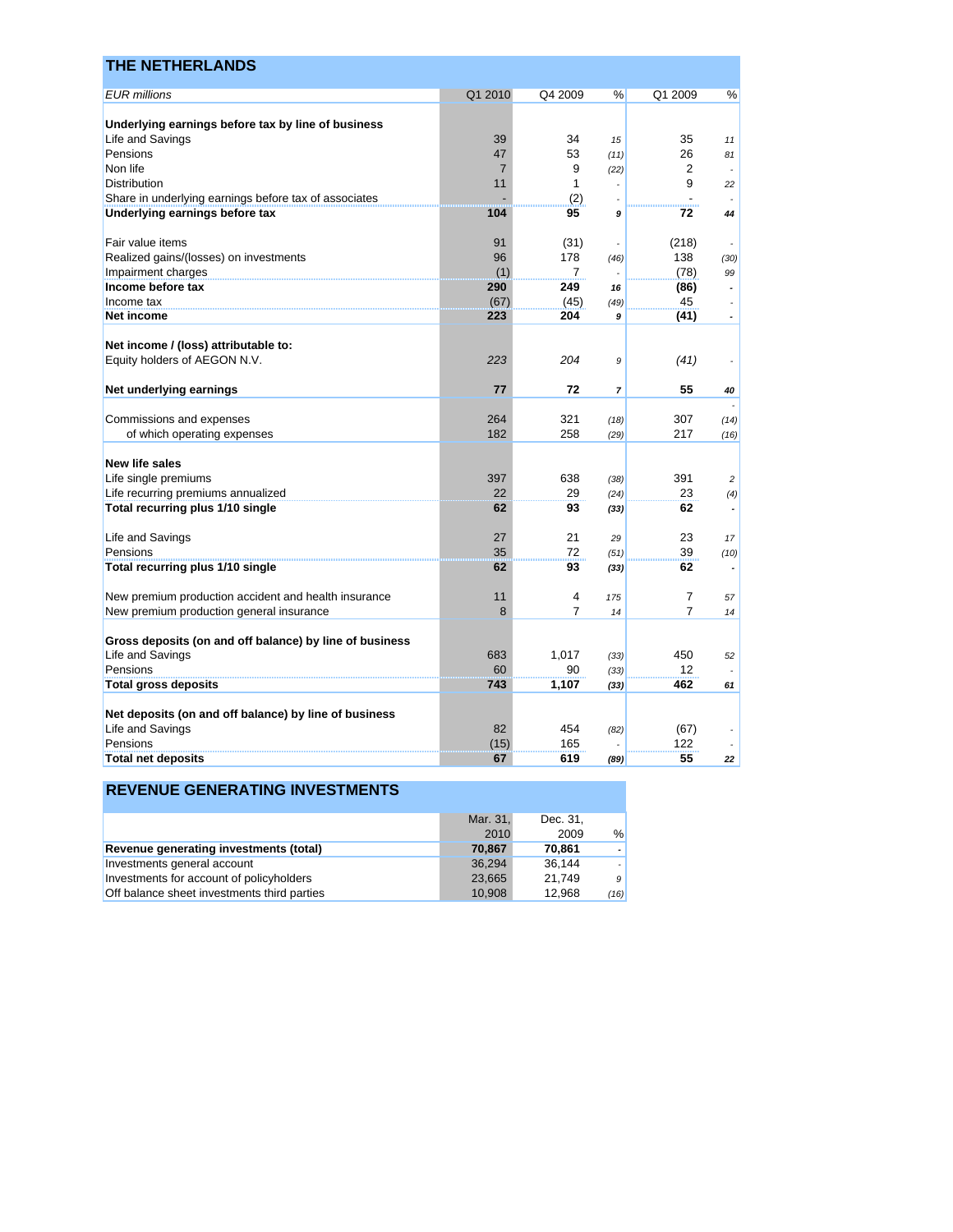| <b>THE NETHERLANDS</b>                                  |                |                |                |                |                          |
|---------------------------------------------------------|----------------|----------------|----------------|----------------|--------------------------|
| <b>EUR millions</b>                                     | Q1 2010        | Q4 2009        | %              | Q1 2009        | %                        |
| Underlying earnings before tax by line of business      |                |                |                |                |                          |
| Life and Savings                                        | 39             | 34             | 15             | 35             | 11                       |
| Pensions                                                | 47             | 53             | (11)           | 26             | 81                       |
| Non life                                                | $\overline{7}$ | 9              | (22)           | 2              |                          |
| <b>Distribution</b>                                     | 11             | $\mathbf{1}$   |                | 9              | 22                       |
| Share in underlying earnings before tax of associates   |                | (2)            |                |                |                          |
| Underlying earnings before tax                          | 104            | 95             | 9              | 72             | 44                       |
|                                                         |                |                |                |                |                          |
| Fair value items                                        | 91             | (31)           | ä,             | (218)          |                          |
| Realized gains/(losses) on investments                  | 96             | 178            | (46)           | 138            | (30)                     |
| Impairment charges                                      | (1)            | $\overline{7}$ |                | (78)           | 99                       |
| Income before tax                                       | 290            | 249            | 16             | (86)           | $\overline{a}$           |
| Income tax                                              | (67)           | (45)           | (49)           | 45             |                          |
| Net income                                              | 223            | 204            | 9              | (41)           | $\overline{\phantom{a}}$ |
|                                                         |                |                |                |                |                          |
| Net income / (loss) attributable to:                    |                |                |                |                |                          |
| Equity holders of AEGON N.V.                            | 223            | 204            | 9              | (41)           |                          |
|                                                         |                |                |                |                |                          |
| Net underlying earnings                                 | 77             | 72             | $\overline{7}$ | 55             | 40                       |
|                                                         |                |                |                |                |                          |
| Commissions and expenses                                | 264<br>182     | 321<br>258     | (18)           | 307            | (14)                     |
| of which operating expenses                             |                |                | (29)           | 217            | (16)                     |
| <b>New life sales</b>                                   |                |                |                |                |                          |
| Life single premiums                                    | 397            | 638            | (38)           | 391            | $\overline{c}$           |
| Life recurring premiums annualized                      | 22             | 29             | (24)           | 23             | (4)                      |
| Total recurring plus 1/10 single                        | 62             | 93             | (33)           | 62             |                          |
|                                                         |                |                |                |                |                          |
| Life and Savings                                        | 27             | 21             | 29             | 23             | 17                       |
| Pensions                                                | 35             | 72             | (51)           | 39             | (10)                     |
| Total recurring plus 1/10 single                        | 62             | 93             | (33)           | 62             |                          |
| New premium production accident and health insurance    | 11             | $\overline{4}$ | 175            | $\overline{7}$ | 57                       |
| New premium production general insurance                | 8              | $\overline{7}$ | 14             | $\overline{7}$ | 14                       |
|                                                         |                |                |                |                |                          |
| Gross deposits (on and off balance) by line of business |                |                |                |                |                          |
| Life and Savings                                        | 683            | 1,017          | (33)           | 450            | 52                       |
| Pensions                                                | 60             | 90             | (33)           | 12             |                          |
| <b>Total gross deposits</b>                             | 743            | 1,107          | (33)           | 462            | 61                       |
|                                                         |                |                |                |                |                          |
| Net deposits (on and off balance) by line of business   |                |                |                |                |                          |
| Life and Savings                                        | 82             | 454            | (82)           | (67)           |                          |
| Pensions                                                | (15)           | 165            |                | 122            |                          |
| <b>Total net deposits</b>                               | 67             | 619            | (89)           | 55             | 22                       |

|                                             | Mar. 31, | Dec. 31. |                |
|---------------------------------------------|----------|----------|----------------|
|                                             | 2010     | 2009     | %              |
| Revenue generating investments (total)      | 70.867   | 70.861   | - 1            |
| Investments general account                 | 36.294   | 36.144   |                |
| Investments for account of policyholders    | 23.665   | 21.749   | 9 <sup>°</sup> |
| Off balance sheet investments third parties | 10,908   | 12.968   | (16)           |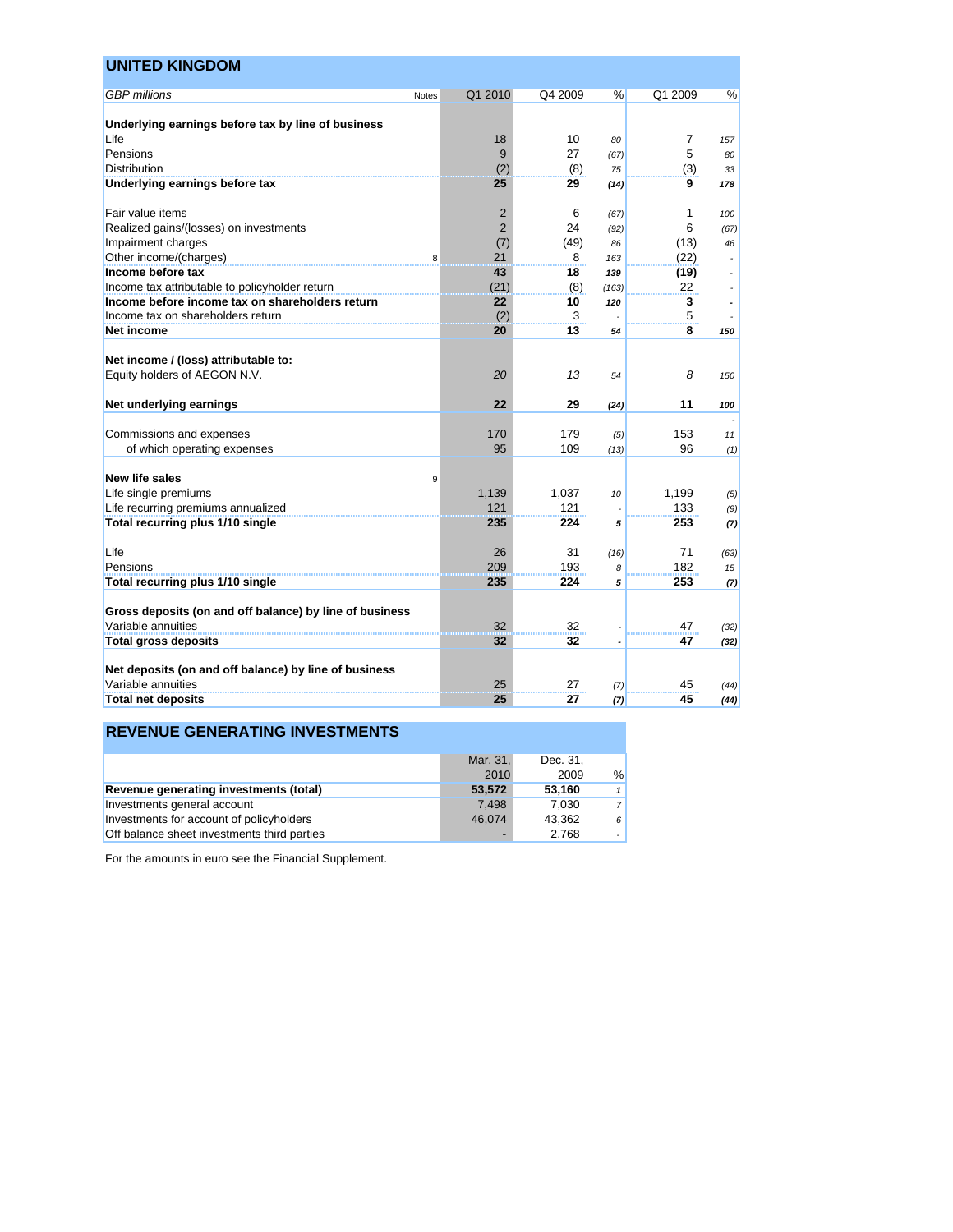| <b>UNITED KINGDOM</b>                                                |       |                |         |       |                |      |
|----------------------------------------------------------------------|-------|----------------|---------|-------|----------------|------|
| <b>GBP</b> millions                                                  | Notes | Q1 2010        | Q4 2009 | ℅     | Q1 2009        | %    |
|                                                                      |       |                |         |       |                |      |
| Underlying earnings before tax by line of business                   |       |                |         |       |                |      |
| Life                                                                 |       | 18             | 10      | 80    | $\overline{7}$ | 157  |
| Pensions                                                             |       | 9              | 27      | (67)  | 5              | 80   |
| <b>Distribution</b>                                                  |       | (2)            | (8)     | 75    | (3)            | 33   |
| Underlying earnings before tax                                       |       | 25             | 29      | (14)  | 9              | 178  |
| Fair value items                                                     |       | $\overline{2}$ | 6       | (67)  | 1              | 100  |
| Realized gains/(losses) on investments                               |       | $\overline{2}$ | 24      | (92)  | 6              | (67) |
| Impairment charges                                                   |       | (7)            | (49)    | 86    | (13)           | 46   |
| Other income/(charges)                                               | 8     | 21             | 8       | 163   | (22)           |      |
| Income before tax                                                    |       | 43             | 18      | 139   | (19)           |      |
| Income tax attributable to policyholder return                       |       | (21)           | (8)     | (163) | 22             |      |
| Income before income tax on shareholders return                      |       | 22             | 10      | 120   | 3              |      |
| Income tax on shareholders return                                    |       | (2)            | 3       |       | 5              |      |
| Net income                                                           |       | 20             | 13      | 54    | 8              | 150  |
| Net income / (loss) attributable to:<br>Equity holders of AEGON N.V. |       | 20             | 13      | 54    | 8              | 150  |
| Net underlying earnings                                              |       | 22             | 29      | (24)  | 11             | 100  |
| Commissions and expenses                                             |       | 170            | 179     | (5)   | 153            | 11   |
| of which operating expenses                                          |       | 95             | 109     | (13)  | 96             | (1)  |
|                                                                      |       |                |         |       |                |      |
| New life sales                                                       | 9     |                |         |       |                |      |
| Life single premiums                                                 |       | 1,139          | 1.037   | 10    | 1,199          | (5)  |
| Life recurring premiums annualized                                   |       | 121            | 121     |       | 133            | (9)  |
| Total recurring plus 1/10 single                                     |       | 235            | 224     | 5     | 253            | (7)  |
| Life                                                                 |       | 26             | 31      | (16)  | 71             | (63) |
| Pensions                                                             |       | 209            | 193     | 8     | 182            | 15   |
| Total recurring plus 1/10 single                                     |       | 235            | 224     | 5     | 253            | (7)  |
|                                                                      |       |                |         |       |                |      |
| Gross deposits (on and off balance) by line of business              |       |                |         |       |                |      |
| Variable annuities                                                   |       | 32             | 32      |       | 47             | (32) |
| Total gross deposits                                                 |       | 32             | 32      |       | 47             | (32) |
| Net deposits (on and off balance) by line of business                |       |                |         |       |                |      |
| Variable annuities                                                   |       | 25             | 27      | (7)   | 45             | (44) |
| <b>Total net deposits</b>                                            |       | 25             | 27      | (7)   | 45             | (44) |

### **REVENUE GENERATING INVESTMENTS**

|                                             | Mar. 31. | Dec. 31. |                |
|---------------------------------------------|----------|----------|----------------|
|                                             | 2010     | 2009     | $\frac{0}{0}$  |
| Revenue generating investments (total)      | 53,572   | 53.160   | 1              |
| Investments general account                 | 7.498    | 7.030    | $\overline{7}$ |
| Investments for account of policyholders    | 46.074   | 43.362   | 6              |
| Off balance sheet investments third parties |          | 2.768    | $\overline{a}$ |

For the amounts in euro see the Financial Supplement.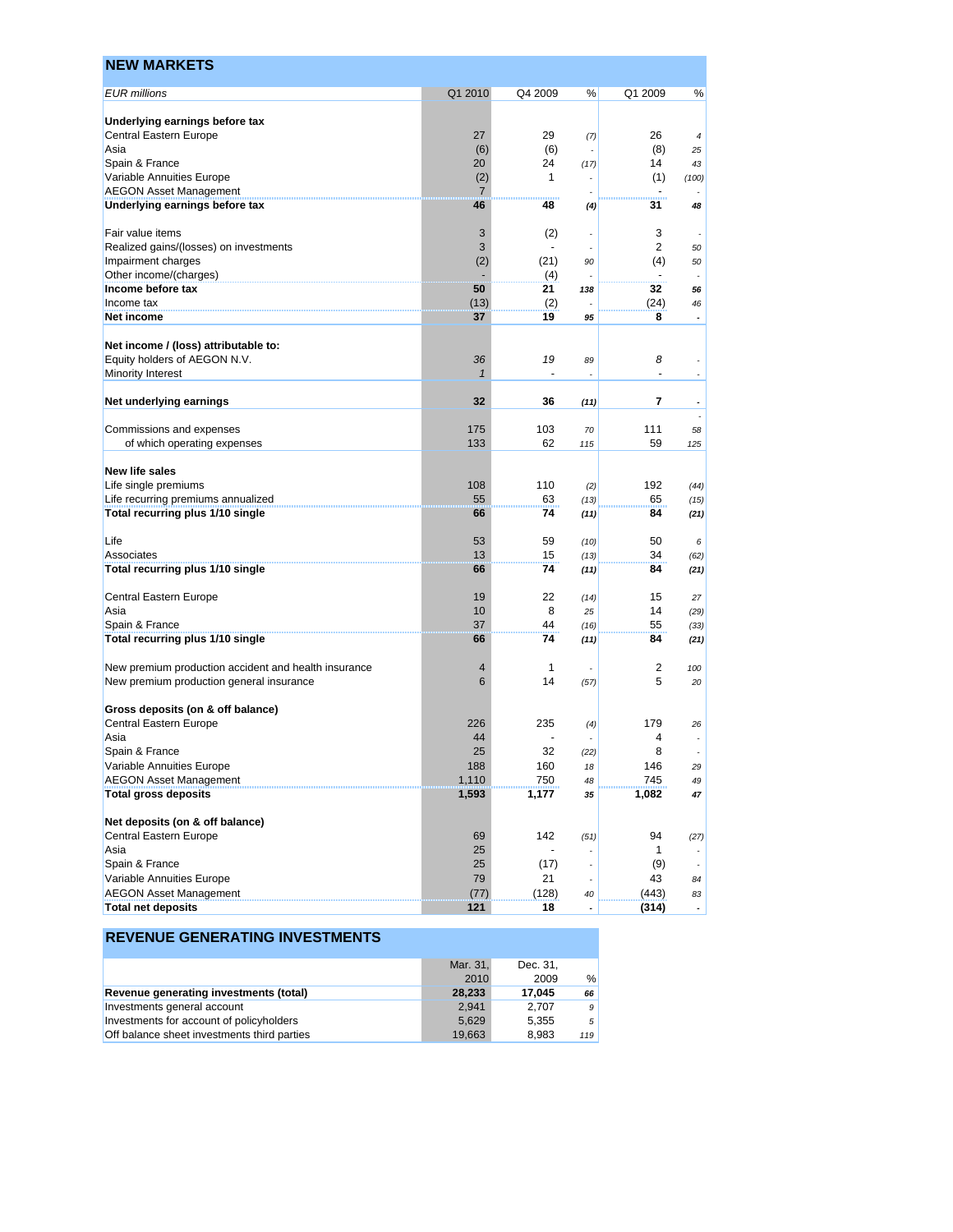| <b>NEW MARKETS</b>                                           |                |              |                          |                |                |
|--------------------------------------------------------------|----------------|--------------|--------------------------|----------------|----------------|
| <b>EUR</b> millions                                          | Q1 2010        | Q4 2009      | %                        | Q1 2009        | %              |
| Underlying earnings before tax                               |                |              |                          |                |                |
| Central Eastern Europe                                       | 27             | 29           | (7)                      | 26             | $\overline{4}$ |
| Asia                                                         | (6)            | (6)          |                          | (8)            | 25             |
| Spain & France                                               | 20             | 24           | (17)                     | 14             | 43             |
| Variable Annuities Europe                                    | (2)            | $\mathbf{1}$ |                          | (1)            | (100)          |
| <b>AEGON Asset Management</b>                                | 7              |              |                          |                |                |
| Underlying earnings before tax                               | 46             | 48           | (4)                      | 31             | 48             |
| Fair value items                                             | 3              | (2)          | $\overline{\phantom{a}}$ | 3              |                |
| Realized gains/(losses) on investments                       | 3              |              | ÷,                       | $\overline{2}$ | 50             |
| Impairment charges                                           | (2)            | (21)         | 90                       | (4)            | 50             |
| Other income/(charges)                                       |                | (4)          |                          |                |                |
| Income before tax                                            | 50             | 21           | 138                      | 32             | 56             |
| Income tax                                                   | (13)           | (2)          |                          | (24)           | 46             |
| Net income                                                   | 37             | 19           | 95                       | 8              |                |
| Net income / (loss) attributable to:                         |                |              |                          |                |                |
| Equity holders of AEGON N.V.                                 | 36             | 19           | 89                       | 8              |                |
| Minority Interest                                            | $\mathbf{1}$   |              | $\overline{\phantom{a}}$ | $\frac{1}{2}$  | ä,             |
| Net underlying earnings                                      | 32             | 36           | (11)                     | 7              | ä,             |
|                                                              |                |              |                          |                |                |
| Commissions and expenses                                     | 175            | 103          | 70                       | 111            | 58             |
| of which operating expenses                                  | 133            | 62           | 115                      | 59             | 125            |
|                                                              |                |              |                          |                |                |
| <b>New life sales</b>                                        |                |              |                          |                |                |
| Life single premiums<br>Life recurring premiums annualized   | 108<br>55      | 110<br>63    | (2)                      | 192<br>65      | (44)           |
| <b>Total recurring plus 1/10 single</b>                      | 66             | 74           | (13)<br>(11)             | 84             | (15)<br>(21)   |
|                                                              |                |              |                          |                |                |
| Life                                                         | 53             | 59           | (10)                     | 50             | 6              |
| Associates                                                   | 13             | 15           | (13)                     | 34             | (62)           |
| Total recurring plus 1/10 single                             | 66             | 74           | (11)                     | 84             | (21)           |
|                                                              |                |              |                          |                |                |
| Central Eastern Europe                                       | 19             | 22           | (14)                     | 15             | 27             |
| Asia                                                         | 10<br>37       | 8<br>44      | 25                       | 14<br>55       | (29)           |
| Spain & France<br>Total recurring plus 1/10 single           | 66             | 74           | (16)<br>(11)             | 84             | (33)<br>(21)   |
|                                                              |                |              |                          |                |                |
| New premium production accident and health insurance         | 4              | 1            |                          | 2              | 100            |
| New premium production general insurance                     | 6              | 14           | (57)                     | 5              | 20             |
|                                                              |                |              |                          |                |                |
| Gross deposits (on & off balance)                            |                |              |                          |                |                |
| Central Eastern Europe                                       | 226            | 235          | (4)                      | 179            | 26             |
| Asia                                                         | 44             |              |                          | 4              |                |
| Spain & France                                               | 25             | 32           | (22)                     | 8              |                |
| Variable Annuities Europe                                    | 188            | 160          | 18                       | 146            | 29             |
| <b>AEGON Asset Management</b><br><b>Total gross deposits</b> | 1,110<br>1,593 | 750          | 48                       | 745            | 49             |
|                                                              |                | 1,177        | 35                       | 1,082          | 47             |
| Net deposits (on & off balance)                              |                |              |                          |                |                |
| Central Eastern Europe                                       | 69             | 142          | (51)                     | 94             | (27)           |
| Asia                                                         | 25             |              |                          | $\mathbf{1}$   |                |
| Spain & France                                               | 25             | (17)         | $\overline{\phantom{a}}$ | (9)            |                |
| Variable Annuities Europe                                    | 79             | 21           | ×                        | 43             | 84             |
| <b>AEGON Asset Management</b>                                | (77)           | (128)        | 40                       | (443)          | 83             |
| <b>Total net deposits</b>                                    | 121            | 18           | $\blacksquare$           | (314)          | $\blacksquare$ |

## **REVENUE GENERATING INVESTMENTS**

|                                             | Mar. 31. | Dec. 31. |     |
|---------------------------------------------|----------|----------|-----|
|                                             | 2010     | 2009     | %   |
| Revenue generating investments (total)      | 28.233   | 17.045   | 66  |
| Investments general account                 | 2.941    | 2.707    | 9   |
| Investments for account of policyholders    | 5.629    | 5.355    | 5   |
| Off balance sheet investments third parties | 19.663   | 8.983    | 119 |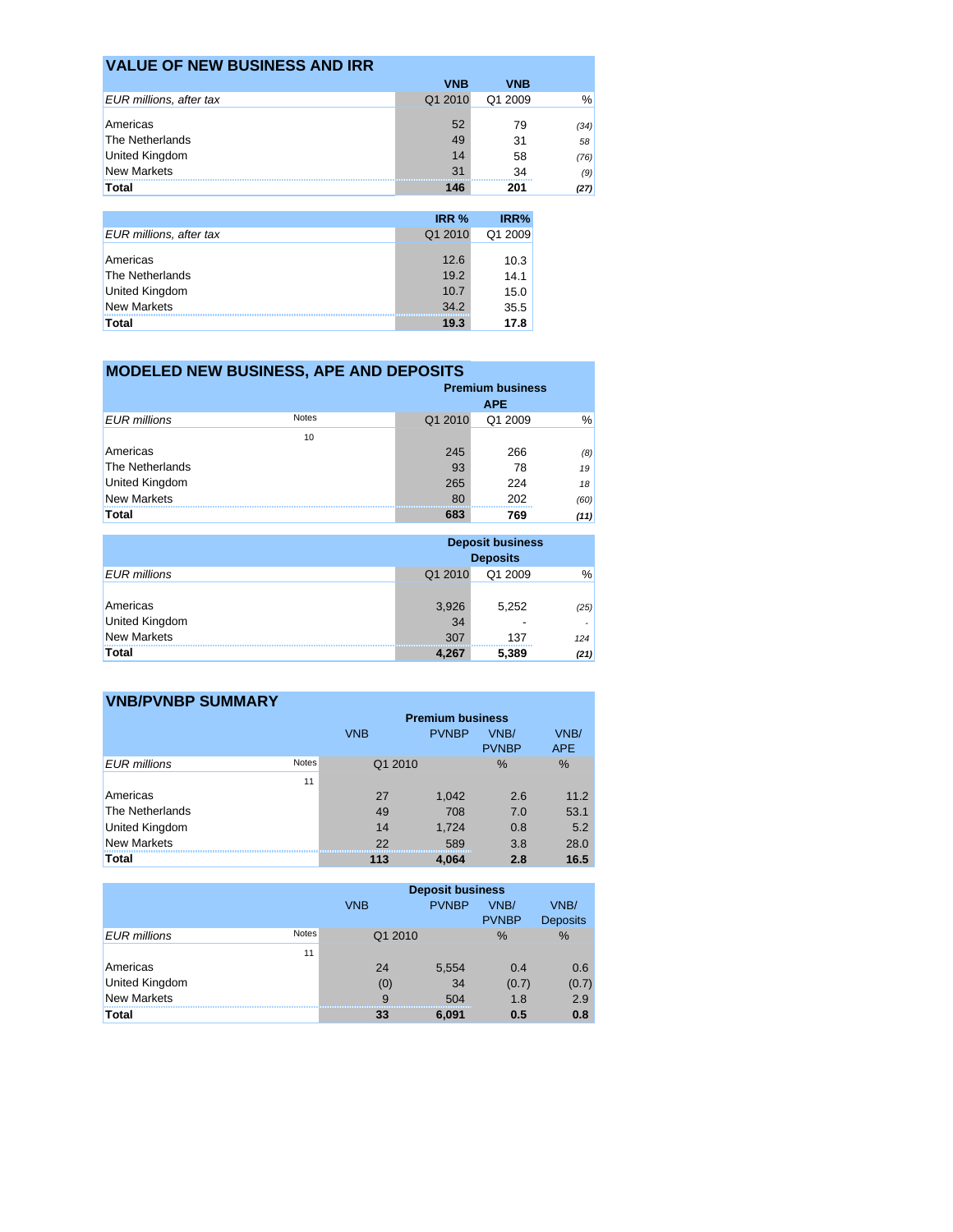| <b>VALUE OF NEW BUSINESS AND IRR</b> |            |            |      |
|--------------------------------------|------------|------------|------|
|                                      | <b>VNB</b> | <b>VNB</b> |      |
| EUR millions, after tax              | Q1 2010    | Q1 2009    | %    |
| Americas                             | 52         | 79         | (34) |
| The Netherlands                      | 49         | 31         | 58   |
| <b>United Kingdom</b>                | 14         | 58         | (76) |
| <b>New Markets</b>                   | 31         | 34         | (9)  |
| <b>Total</b>                         | 146        | 201        | (27) |
|                                      |            |            |      |
|                                      | IRR %      | IRR%       |      |

| <b>EUR millions, after tax</b> | Q1 2010 | Q1 2009 |
|--------------------------------|---------|---------|
| Americas                       |         |         |
|                                | 12.6    | 10.3    |
| The Netherlands                | 19.2    | 14.1    |
| <b>United Kingdom</b>          | 10.7    | 15.0    |
| <b>New Markets</b>             | 34.2    | 35.5    |
| Total                          | 19.3    | 17.8    |

## **MODELED NEW BUSINESS, APE AND DEPOSITS**

|                       |              |         | <b>Premium business</b><br><b>APE</b> |      |  |  |
|-----------------------|--------------|---------|---------------------------------------|------|--|--|
| <b>EUR</b> millions   | <b>Notes</b> | Q1 2010 | Q1 2009                               | %    |  |  |
|                       | 10           |         |                                       |      |  |  |
| Americas              |              | 245     | 266                                   | (8)  |  |  |
| The Netherlands       |              | 93      | 78                                    | 19   |  |  |
| <b>United Kingdom</b> |              | 265     | 224                                   | 18   |  |  |
| <b>New Markets</b>    |              | 80      | 202                                   | (60) |  |  |
| <b>Total</b>          |              | 683     | 769                                   | (11) |  |  |

|                            | <b>Deposit business</b><br><b>Deposits</b> |         |      |
|----------------------------|--------------------------------------------|---------|------|
| <b>EUR</b> millions        | Q1 2010                                    | Q1 2009 | %    |
| Americas<br>United Kingdom | 3,926<br>34                                | 5,252   | (25) |
| <b>New Markets</b>         | 307                                        | 137     | 124  |
| Total                      | 4.267                                      | 5,389   | (21) |

| <b>VNB/PVNBP SUMMARY</b> |              |                         |              |                      |                    |  |
|--------------------------|--------------|-------------------------|--------------|----------------------|--------------------|--|
|                          |              | <b>Premium business</b> |              |                      |                    |  |
|                          |              | <b>VNB</b>              | <b>PVNBP</b> | VNB/<br><b>PVNBP</b> | VNB/<br><b>APE</b> |  |
| <b>EUR</b> millions      | <b>Notes</b> | Q1 2010                 |              | $\%$                 | %                  |  |
|                          | 11           |                         |              |                      |                    |  |
| Americas                 |              | 27                      | 1,042        | 2.6                  | 11.2               |  |
| The Netherlands          |              | 49                      | 708          | 7.0                  | 53.1               |  |
| United Kingdom           |              | 14                      | 1.724        | 0.8                  | 5.2                |  |
| <b>New Markets</b>       |              | 22                      | 589          | 3.8                  | 28.0               |  |
| <b>Total</b>             |              | 113                     | 4.064        | 2.8                  | 16.5               |  |

|                       |              | <b>VNB</b>   | <b>Deposit business</b><br><b>PVNBP</b> | VNB/<br><b>PVNBP</b> | VNB/<br><b>Deposits</b> |
|-----------------------|--------------|--------------|-----------------------------------------|----------------------|-------------------------|
| <b>EUR</b> millions   | <b>Notes</b> | Q1 2010      |                                         | $\frac{9}{6}$        | $\%$                    |
|                       | 11           |              |                                         |                      |                         |
| Americas              |              | 24           | 5,554                                   | 0.4                  | 0.6                     |
| <b>United Kingdom</b> |              | (0)          | 34                                      | (0.7)                | (0.7)                   |
| <b>New Markets</b>    |              | $\mathbf{Q}$ | 504                                     | 1.8                  | 2.9                     |
| <b>Total</b>          |              | 33           | 6,091                                   | 0.5                  | 0.8                     |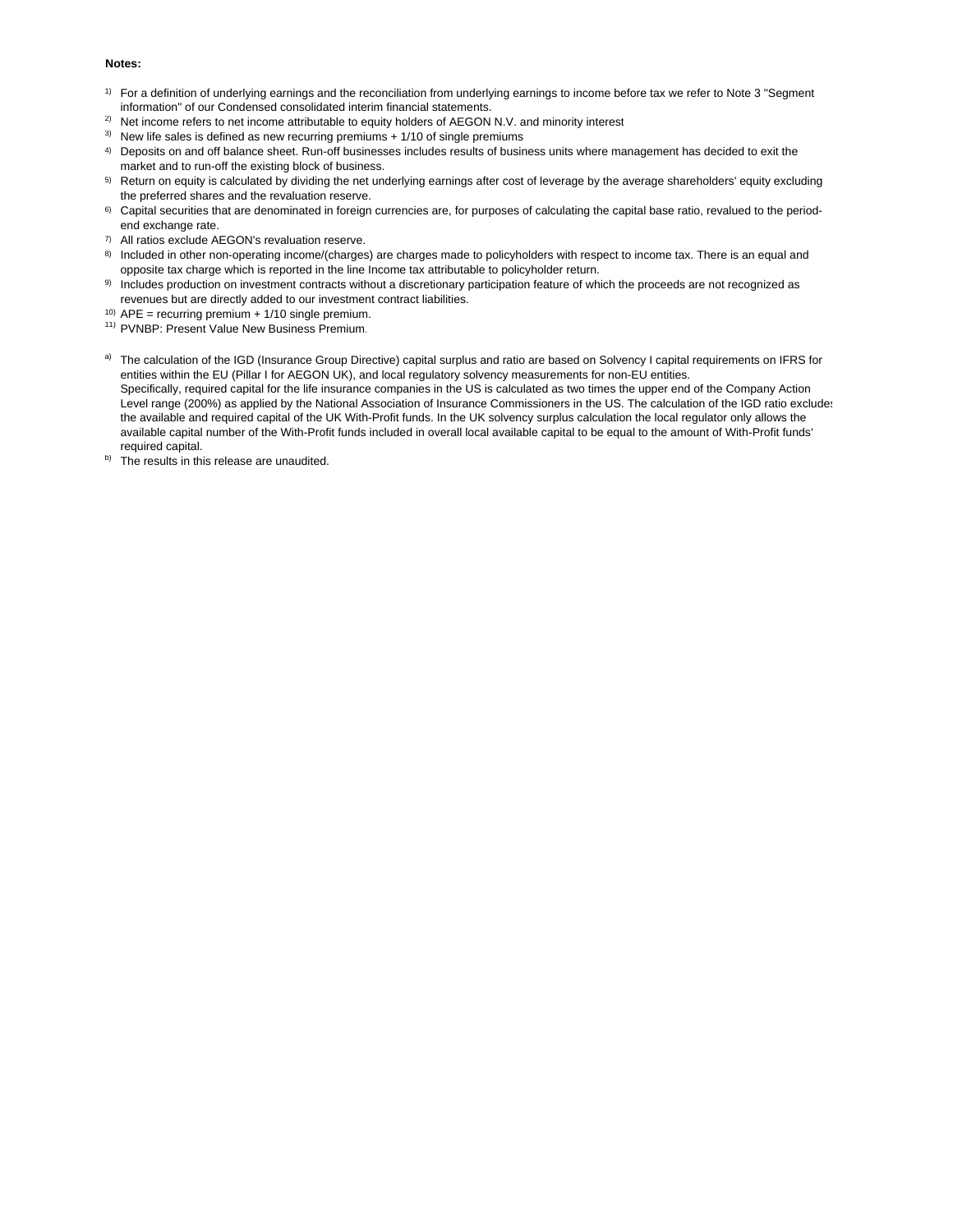### **Notes:**

- 1) For a definition of underlying earnings and the reconciliation from underlying earnings to income before tax we refer to Note 3 "Segment information" of our Condensed consolidated interim financial statements.
- <sup>2)</sup> Net income refers to net income attributable to equity holders of AEGON N.V. and minority interest
- $3)$  New life sales is defined as new recurring premiums + 1/10 of single premiums
- 4) Deposits on and off balance sheet. Run-off businesses includes results of business units where management has decided to exit the market and to run-off the existing block of business.
- 5) Return on equity is calculated by dividing the net underlying earnings after cost of leverage by the average shareholders' equity excluding the preferred shares and the revaluation reserve.
- <sup>6)</sup> Capital securities that are denominated in foreign currencies are, for purposes of calculating the capital base ratio, revalued to the periodend exchange rate.
- 7) All ratios exclude AEGON's revaluation reserve.
- 8) Included in other non-operating income/(charges) are charges made to policyholders with respect to income tax. There is an equal and opposite tax charge which is reported in the line Income tax attributable to policyholder return.
- 9) Includes production on investment contracts without a discretionary participation feature of which the proceeds are not recognized as revenues but are directly added to our investment contract liabilities.<br><sup>10)</sup>  $APE = recurring$  premium + 1/10 single premium.
- 
- <sup>11)</sup> PVNBP: Present Value New Business Premium.
- a) The calculation of the IGD (Insurance Group Directive) capital surplus and ratio are based on Solvency I capital requirements on IFRS for entities within the EU (Pillar I for AEGON UK), and local regulatory solvency measurements for non-EU entities. Specifically, required capital for the life insurance companies in the US is calculated as two times the upper end of the Company Action Level range (200%) as applied by the National Association of Insurance Commissioners in the US. The calculation of the IGD ratio excludes the available and required capital of the UK With-Profit funds. In the UK solvency surplus calculation the local regulator only allows the available capital number of the With-Profit funds included in overall local available capital to be equal to the amount of With-Profit funds' required capital.
- b) The results in this release are unaudited.